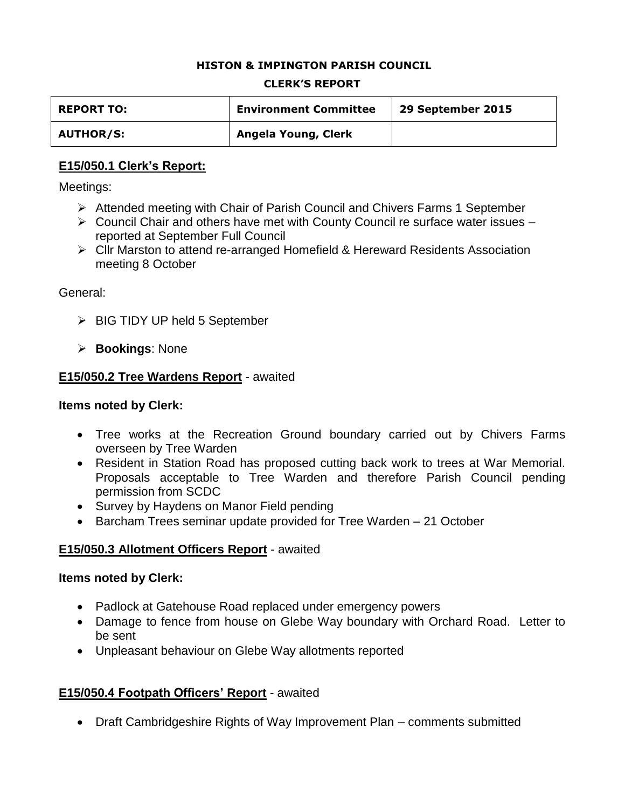#### **HISTON & IMPINGTON PARISH COUNCIL**

#### **CLERK'S REPORT**

| <b>REPORT TO:</b> | <b>Environment Committee</b> | 29 September 2015 |
|-------------------|------------------------------|-------------------|
| <b>AUTHOR/S:</b>  | Angela Young, Clerk          |                   |

### **E15/050.1 Clerk's Report:**

Meetings:

- Attended meeting with Chair of Parish Council and Chivers Farms 1 September
- $\triangleright$  Council Chair and others have met with County Council re surface water issues reported at September Full Council
- Cllr Marston to attend re-arranged Homefield & Hereward Residents Association meeting 8 October

#### General:

- $\triangleright$  BIG TIDY UP held 5 September
- **Bookings**: None

### **E15/050.2 Tree Wardens Report** - awaited

#### **Items noted by Clerk:**

- Tree works at the Recreation Ground boundary carried out by Chivers Farms overseen by Tree Warden
- Resident in Station Road has proposed cutting back work to trees at War Memorial. Proposals acceptable to Tree Warden and therefore Parish Council pending permission from SCDC
- Survey by Haydens on Manor Field pending
- Barcham Trees seminar update provided for Tree Warden 21 October

### **E15/050.3 Allotment Officers Report** - awaited

#### **Items noted by Clerk:**

- Padlock at Gatehouse Road replaced under emergency powers
- Damage to fence from house on Glebe Way boundary with Orchard Road. Letter to be sent
- Unpleasant behaviour on Glebe Way allotments reported

### **E15/050.4 Footpath Officers' Report** - awaited

• Draft Cambridgeshire Rights of Way Improvement Plan – comments submitted